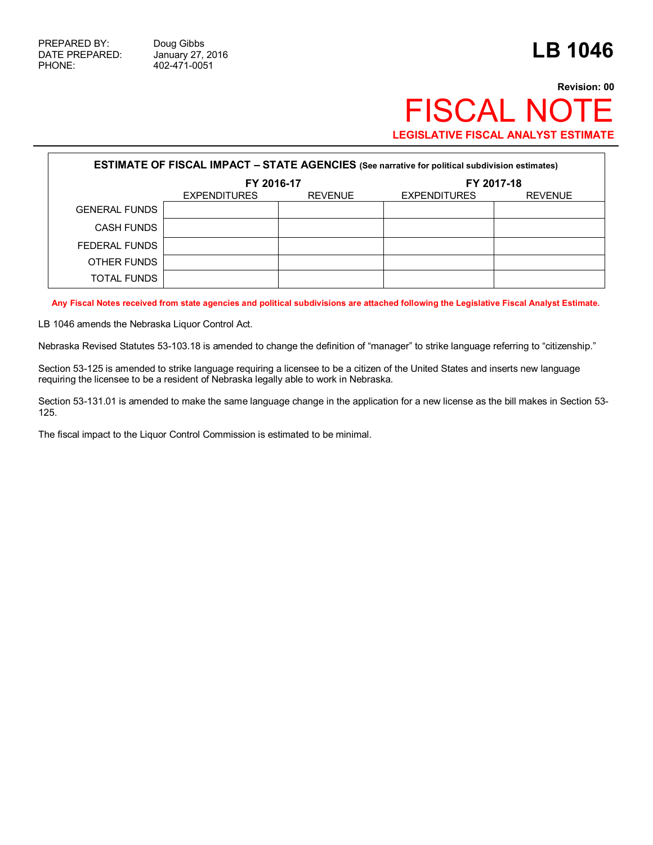PHONE: 402-471-0051

## **Revision: 00** FISCAL NOTE **LEGISLATIVE FISCAL ANALYST ESTIMATE**

| <b>ESTIMATE OF FISCAL IMPACT - STATE AGENCIES (See narrative for political subdivision estimates)</b> |                     |                |                     |                |  |  |  |  |
|-------------------------------------------------------------------------------------------------------|---------------------|----------------|---------------------|----------------|--|--|--|--|
|                                                                                                       | FY 2016-17          |                | FY 2017-18          |                |  |  |  |  |
|                                                                                                       | <b>EXPENDITURES</b> | <b>REVENUE</b> | <b>EXPENDITURES</b> | <b>REVENUE</b> |  |  |  |  |
| <b>GENERAL FUNDS</b>                                                                                  |                     |                |                     |                |  |  |  |  |
| CASH FUNDS                                                                                            |                     |                |                     |                |  |  |  |  |
| FEDERAL FUNDS                                                                                         |                     |                |                     |                |  |  |  |  |
| OTHER FUNDS                                                                                           |                     |                |                     |                |  |  |  |  |
| TOTAL FUNDS                                                                                           |                     |                |                     |                |  |  |  |  |

**Any Fiscal Notes received from state agencies and political subdivisions are attached following the Legislative Fiscal Analyst Estimate.**

LB 1046 amends the Nebraska Liquor Control Act.

Nebraska Revised Statutes 53-103.18 is amended to change the definition of "manager" to strike language referring to "citizenship."

Section 53-125 is amended to strike language requiring a licensee to be a citizen of the United States and inserts new language requiring the licensee to be a resident of Nebraska legally able to work in Nebraska.

Section 53-131.01 is amended to make the same language change in the application for a new license as the bill makes in Section 53- 125.

The fiscal impact to the Liquor Control Commission is estimated to be minimal.